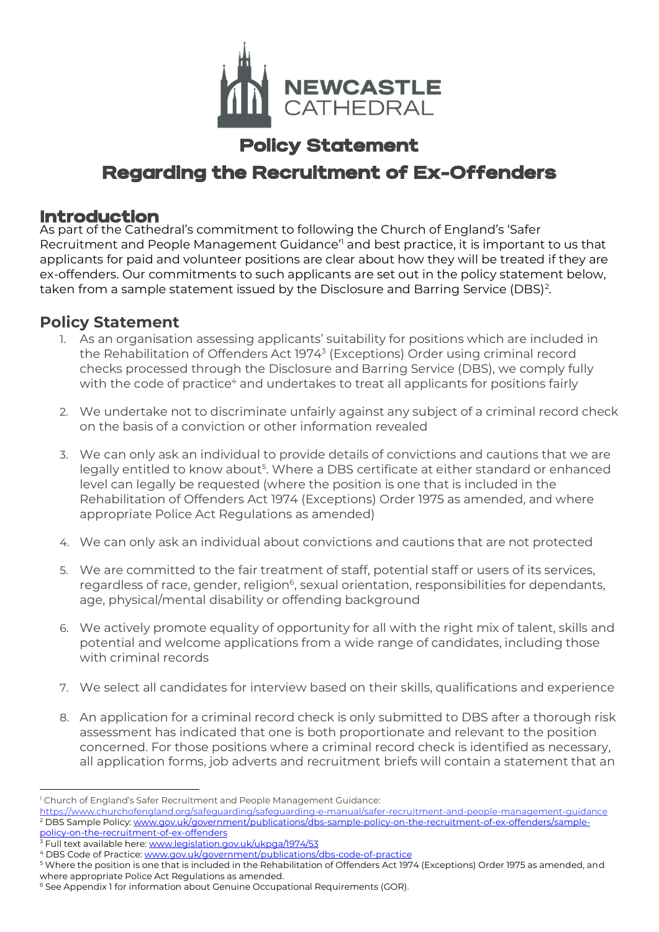

## Policy Statement Regarding the Recruitment of Ex-Offenders

#### Introduction

As part of the Cathedral's commitment to following the Church of England's 'Safer Recruitment and People Management Guidance'<sup>1</sup> and best practice, it is important to us that applicants for paid and volunteer positions are clear about how they will be treated if they are ex-offenders. Our commitments to such applicants are set out in the policy statement below, taken from a sample statement issued by the Disclosure and Barring Service (DBS)<sup>2</sup>.

#### **Policy Statement**

- 1. As an organisation assessing applicants' suitability for positions which are included in the Rehabilitation of Offenders Act 1974<sup>3</sup> (Exceptions) Order using criminal record checks processed through the Disclosure and Barring Service (DBS), we comply fully with the code of practice<sup>4</sup> and undertakes to treat all applicants for positions fairly
- 2. We undertake not to discriminate unfairly against any subject of a criminal record check on the basis of a conviction or other information revealed
- 3. We can only ask an individual to provide details of convictions and cautions that we are legally entitled to know about<sup>5</sup>. Where a DBS certificate at either standard or enhanced level can legally be requested (where the position is one that is included in the Rehabilitation of Offenders Act 1974 (Exceptions) Order 1975 as amended, and where appropriate Police Act Regulations as amended)
- 4. We can only ask an individual about convictions and cautions that are not protected
- 5. We are committed to the fair treatment of staff, potential staff or users of its services, regardless of race, gender, religion<sup>6</sup>, sexual orientation, responsibilities for dependants, age, physical/mental disability or offending background
- 6. We actively promote equality of opportunity for all with the right mix of talent, skills and potential and welcome applications from a wide range of candidates, including those with criminal records
- 7. We select all candidates for interview based on their skills, qualifications and experience
- 8. An application for a criminal record check is only submitted to DBS after a thorough risk assessment has indicated that one is both proportionate and relevant to the position concerned. For those positions where a criminal record check is identified as necessary, all application forms, job adverts and recruitment briefs will contain a statement that an

3 Full text available here: [www.legislation.gov.uk/ukpga/1974/53](http://www.legislation.gov.uk/ukpga/1974/53)

<sup>&</sup>lt;sup>1</sup> Church of England's Safer Recruitment and People Management Guidance:

<https://www.churchofengland.org/safeguarding/safeguarding-e-manual/safer-recruitment-and-people-management-guidance> 2 DBS Sample Policy: [www.gov.uk/government/publications/dbs-sample-policy-on-the-recruitment-of-ex-offenders/sample](http://www.gov.uk/government/publications/dbs-sample-policy-on-the-recruitment-of-ex-offenders/sample-policy-on-the-recruitment-of-ex-offenders)[policy-on-the-recruitment-of-ex-offenders](http://www.gov.uk/government/publications/dbs-sample-policy-on-the-recruitment-of-ex-offenders/sample-policy-on-the-recruitment-of-ex-offenders)

<sup>4</sup> DBS Code of Practice[: www.gov.uk/government/publications/dbs-code-of-practice](http://www.gov.uk/government/publications/dbs-code-of-practice)

<sup>5</sup> Where the position is one that is included in the Rehabilitation of Offenders Act 1974 (Exceptions) Order 1975 as amended, and where appropriate Police Act Regulations as amended.

<sup>&</sup>lt;sup>6</sup> See Appendix 1 for information about Genuine Occupational Requirements (GOR).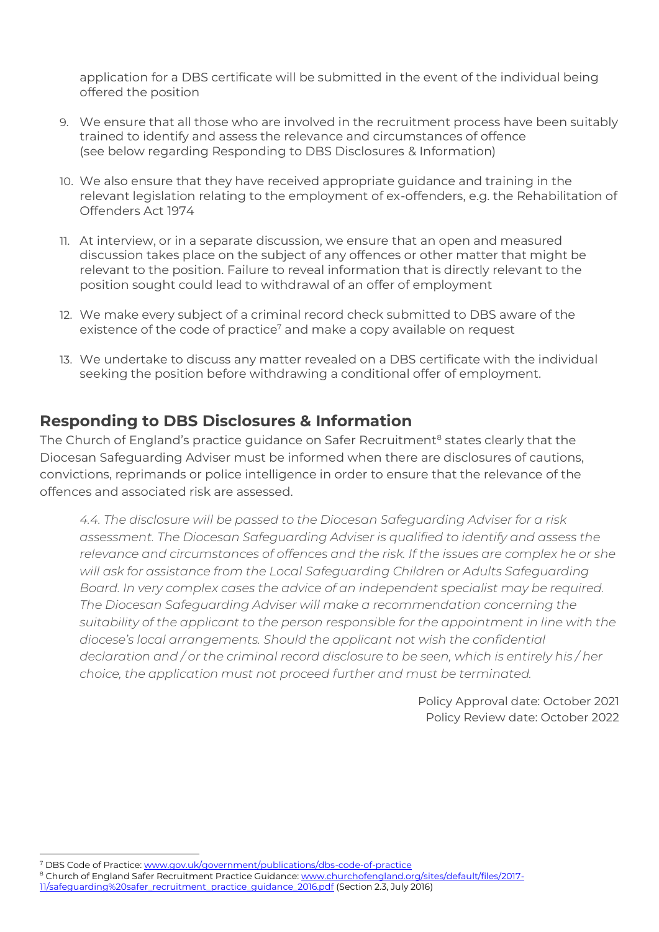application for a DBS certificate will be submitted in the event of the individual being offered the position

- 9. We ensure that all those who are involved in the recruitment process have been suitably trained to identify and assess the relevance and circumstances of offence (see below regarding Responding to DBS Disclosures & Information)
- 10. We also ensure that they have received appropriate guidance and training in the relevant legislation relating to the employment of ex-offenders, e.g. the Rehabilitation of Offenders Act 1974
- 11. At interview, or in a separate discussion, we ensure that an open and measured discussion takes place on the subject of any offences or other matter that might be relevant to the position. Failure to reveal information that is directly relevant to the position sought could lead to withdrawal of an offer of employment
- 12. We make every subject of a criminal record check submitted to DBS aware of the existence of the code of practice<sup>7</sup> and make a copy available on request
- 13. We undertake to discuss any matter revealed on a DBS certificate with the individual seeking the position before withdrawing a conditional offer of employment.

#### **Responding to DBS Disclosures & Information**

The Church of England's practice guidance on Safer Recruitment<sup>8</sup> states clearly that the Diocesan Safeguarding Adviser must be informed when there are disclosures of cautions, convictions, reprimands or police intelligence in order to ensure that the relevance of the offences and associated risk are assessed.

*4.4. The disclosure will be passed to the Diocesan Safeguarding Adviser for a risk assessment. The Diocesan Safeguarding Adviser is qualified to identify and assess the relevance and circumstances of offences and the risk. If the issues are complex he or she*  will ask for assistance from the Local Safeguarding Children or Adults Safeguarding *Board. In very complex cases the advice of an independent specialist may be required. The Diocesan Safeguarding Adviser will make a recommendation concerning the suitability of the applicant to the person responsible for the appointment in line with the diocese's local arrangements. Should the applicant not wish the confidential declaration and / or the criminal record disclosure to be seen, which is entirely his / her choice, the application must not proceed further and must be terminated.*

> Policy Approval date: October 2021 Policy Review date: October 2022

<sup>7</sup> DBS Code of Practice[: www.gov.uk/government/publications/dbs-code-of-practice](http://www.gov.uk/government/publications/dbs-code-of-practice)

<sup>&</sup>lt;sup>8</sup> Church of England Safer Recruitment Practice Guidance[: www.churchofengland.org/sites/default/files/2017-](http://www.churchofengland.org/sites/default/files/2017-11/safeguarding%20safer_recruitment_practice_guidance_2016.pdf)

[<sup>11/</sup>safeguarding%20safer\\_recruitment\\_practice\\_guidance\\_2016.pdf](http://www.churchofengland.org/sites/default/files/2017-11/safeguarding%20safer_recruitment_practice_guidance_2016.pdf) (Section 2.3, July 2016)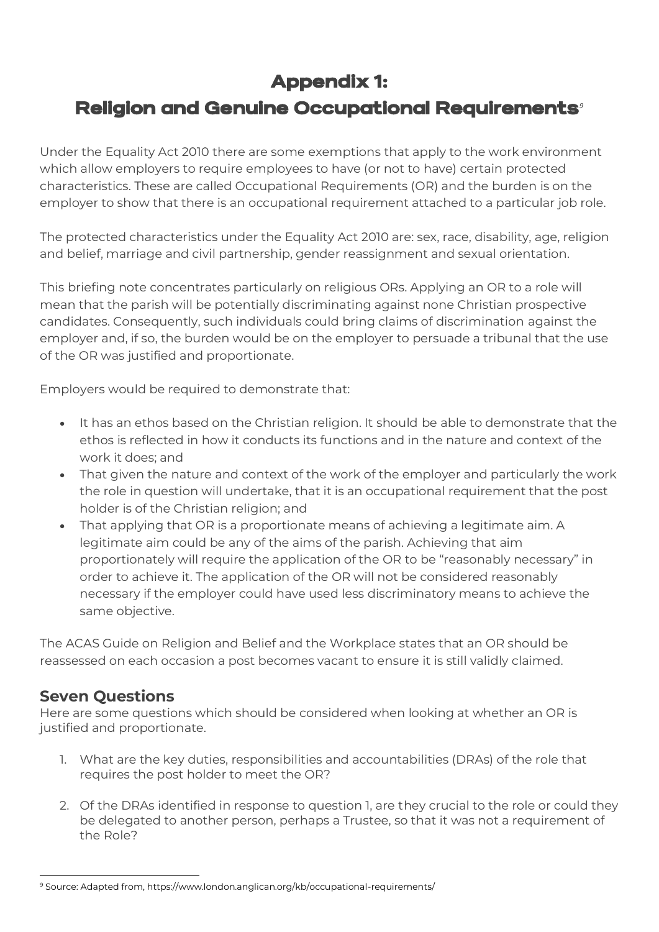### Appendix 1:

# Religion and Genuine Occupational Requirements*<sup>9</sup>*

Under the Equality Act 2010 there are some exemptions that apply to the work environment which allow employers to require employees to have (or not to have) certain protected characteristics. These are called Occupational Requirements (OR) and the burden is on the employer to show that there is an occupational requirement attached to a particular job role.

The protected characteristics under the Equality Act 2010 are: sex, race, disability, age, religion and belief, marriage and civil partnership, gender reassignment and sexual orientation.

This briefing note concentrates particularly on religious ORs. Applying an OR to a role will mean that the parish will be potentially discriminating against none Christian prospective candidates. Consequently, such individuals could bring claims of discrimination against the employer and, if so, the burden would be on the employer to persuade a tribunal that the use of the OR was justified and proportionate.

Employers would be required to demonstrate that:

- It has an ethos based on the Christian religion. It should be able to demonstrate that the ethos is reflected in how it conducts its functions and in the nature and context of the work it does; and
- That given the nature and context of the work of the employer and particularly the work the role in question will undertake, that it is an occupational requirement that the post holder is of the Christian religion; and
- That applying that OR is a proportionate means of achieving a legitimate aim. A legitimate aim could be any of the aims of the parish. Achieving that aim proportionately will require the application of the OR to be "reasonably necessary" in order to achieve it. The application of the OR will not be considered reasonably necessary if the employer could have used less discriminatory means to achieve the same objective.

The ACAS Guide on Religion and Belief and the Workplace states that an OR should be reassessed on each occasion a post becomes vacant to ensure it is still validly claimed.

#### **Seven Questions**

Here are some questions which should be considered when looking at whether an OR is justified and proportionate.

- 1. What are the key duties, responsibilities and accountabilities (DRAs) of the role that requires the post holder to meet the OR?
- 2. Of the DRAs identified in response to question 1, are they crucial to the role or could they be delegated to another person, perhaps a Trustee, so that it was not a requirement of the Role?

<sup>9</sup> Source: Adapted from, https://www.london.anglican.org/kb/occupational-requirements/